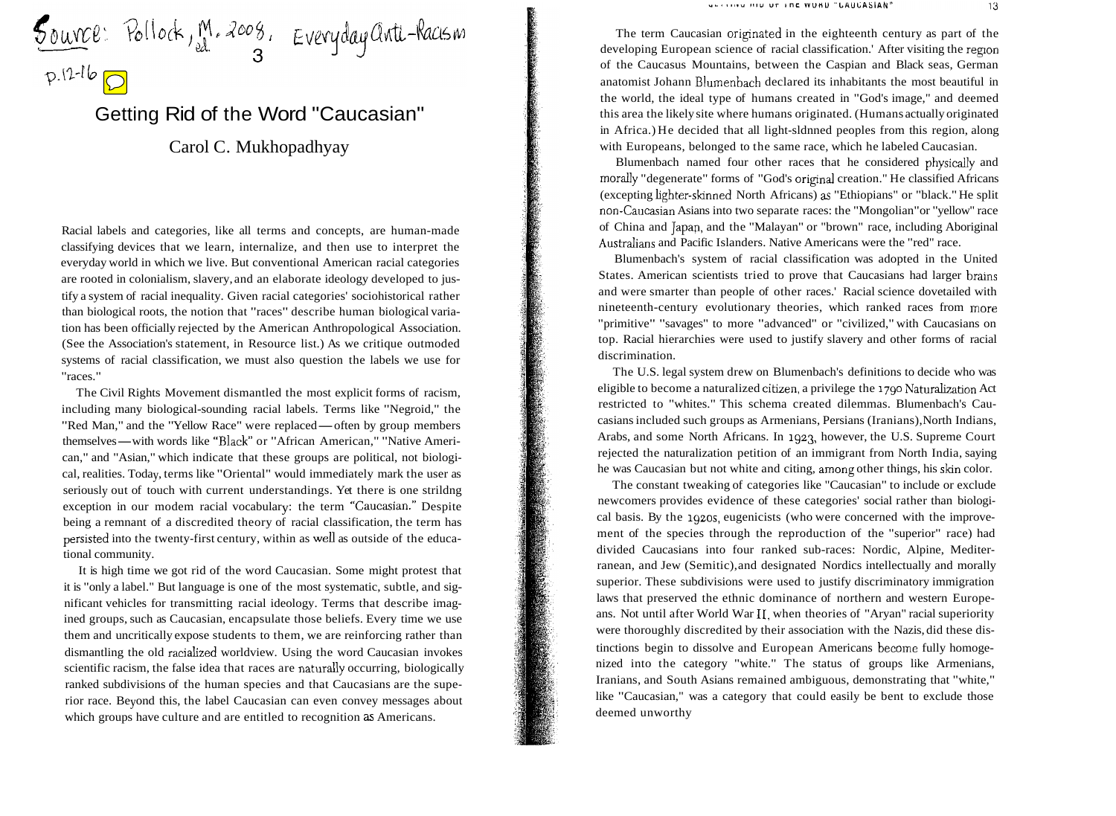#### **GETTING HID OF THE WORD "GAUGASIAN"**

Souver Pollock, M. 2008, Everyday anti-Racism

# Getting Rid of the Word "Caucasian"

Carol C. Mukhopadhyay

Racial labels and categories, like all terms and concepts, are human-made classifying devices that we learn, internalize, and then use to interpret the everyday world in which we live. But conventional American racial categories are rooted in colonialism, slavery, and an elaborate ideology developed to justify a system of racial inequality. Given racial categories' sociohistorical rather than biological roots, the notion that "races" describe human biological variation has been officially rejected by the American Anthropological Association. (See the Association's statement, in Resource list.) As we critique outmoded systems of racial classification, we must also question the labels we use for "races."

The Civil Rights Movement dismantled the most explicit forms of racism, including many biological-sounding racial labels. Terms like "Negroid," the The Civil Rights Movement dismantled the most explicit forms of racism,<br>including many biological-sounding racial labels. Terms like "Negroid," the<br>"Red Man," and the "Yellow Race" were replaced—often by group members<br>them "Red Man," and the "Yellow Race" were replaced — often by group members themselves — with words like "Black" or "African American," "Native American," and "Asian," which indicate that these groups are political, not biological, realities. Today, terms like "Oriental" would immediately mark the user as seriously out of touch with current understandings. Yet there is one strildng exception in our modem racial vocabulary: the term "Caucasian." Despite being a remnant of a discredited theory of racial classification, the term has persisted into the twenty-first century, within as well as outside of the educational community.

It is high time we got rid of the word Caucasian. Some might protest that it is "only a label." But language is one of the most systematic, subtle, and significant vehicles for transmitting racial ideology. Terms that describe imagined groups, such as Caucasian, encapsulate those beliefs. Every time we use them and uncritically expose students to them, we are reinforcing rather than dismantling the old racialized worldview. Using the word Caucasian invokes scientific racism, the false idea that races are naturally occurring, biologically ranked subdivisions of the human species and that Caucasians are the superior race. Beyond this, the label Caucasian can even convey messages about which groups have culture and are entitled to recognition **as** Americans.

The term Caucasian originated in the eighteenth century as part of the developing European science of racial classification.' After visiting the regon of the Caucasus Mountains, between the Caspian and Black seas, German anatomist Johann Blumenbach declared its inhabitants the most beautiful in the world, the ideal type of humans created in "God's image," and deemed this area the likely site where humans originated. (Humans actually originated in Africa.) He decided that all light-sldnned peoples from this region, along with Europeans, belonged to the same race, which he labeled Caucasian.

Blumenbach named four other races that he considered physically and morally "degenerate" forms of "God's orignal creation." He classified Africans (excepting lighter-shnned North Africans) as "Ethiopians" or "black." He split non-Caucasian Asians into two separate races: the "Mongolian" or "yellow" race of China and Japap, and the "Malayan" or "brown" race, including Aboriginal Australians and Pacific Islanders. Native Americans were the "red" race.

Blumenbach's system of racial classification was adopted in the United States. American scientists tried to prove that Caucasians had larger brains and were smarter than people of other races.' Racial science dovetailed with nineteenth-century evolutionary theories, which ranked races from inore "primitive" "savages" to more "advanced" or "civilized," with Caucasians on top. Racial hierarchies were used to justify slavery and other forms of racial discrimination.

The U.S. legal system drew on Blumenbach's definitions to decide who was eligible to become a naturalized citizen, a privilege the 1790 Naturalization Act restricted to "whites." This schema created dilemmas. Blumenbach's Caucasians included such groups as Armenians, Persians (Iranians), North Indians, Arabs, and some North Africans. In 1923, however, the U.S. Supreme Court rejected the naturalization petition of an immigrant from North India, saying he was Caucasian but not white and citing, among other things, his skin color.

The constant tweaking of categories like "Caucasian" to include or exclude newcomers provides evidence of these categories' social rather than biological basis. By the 19205, eugenicists (who were concerned with the improvement of the species through the reproduction of the "superior" race) had divided Caucasians into four ranked sub-races: Nordic, Alpine, Mediterranean, and Jew (Semitic), and designated Nordics intellectually and morally superior. These subdivisions were used to justify discriminatory immigration laws that preserved the ethnic dominance of northern and western Europeans. Not until after World War 11, when theories of "Aryan" racial superiority were thoroughly discredited by their association with the Nazis, did these distinctions begin to dissolve and European Americans become fully homogenized into the category "white." The status of groups like Armenians, Iranians, and South Asians remained ambiguous, demonstrating that "white," like "Caucasian," was a category that could easily be bent to exclude those deemed unworthy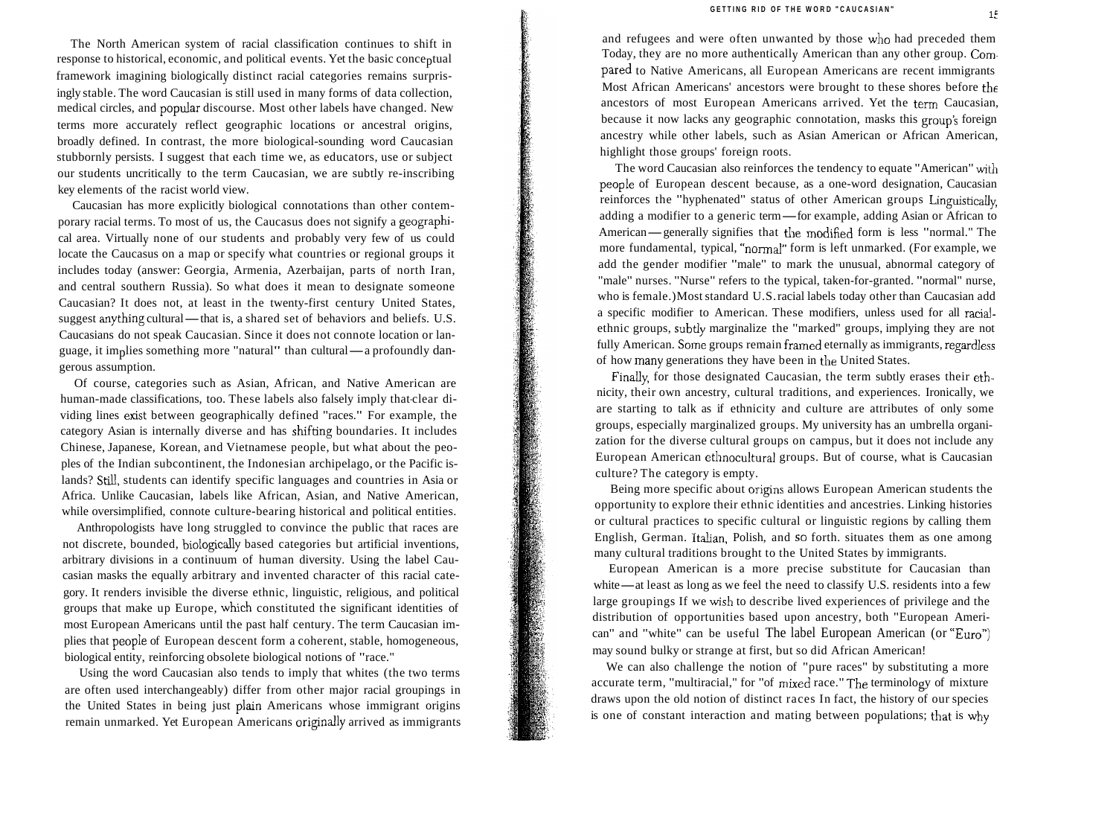**GETTING RID OF THE WORD "CAUCASIAN"** 15

The North American system of racial classification continues to shift in response to historical, economic, and political events. Yet the basic conceptual framework imagining biologically distinct racial categories remains surprisingly stable. The word Caucasian is still used in many forms of data collection, medical circles, and popular discourse. Most other labels have changed. New terms more accurately reflect geographic locations or ancestral origins, broadly defined. In contrast, the more biological-sounding word Caucasian stubbornly persists. I suggest that each time we, as educators, use or subject our students uncritically to the term Caucasian, we are subtly re-inscribing key elements of the racist world view.

Caucasian has more explicitly biological connotations than other contemporary racial terms. To most of us, the Caucasus does not signify a geographical area. Virtually none of our students and probably very few of us could locate the Caucasus on a map or specify what countries or regional groups it includes today (answer: Georgia, Armenia, Azerbaijan, parts of north Iran, and central southern Russia). So what does it mean to designate someone Caucasian? It does not, at least in the twenty-first century United States, and central southern Russia). So what does it mean to designate someone<br>Caucasian? It does not, at least in the twenty-first century United States,<br>suggest anything cultural—that is, a shared set of behaviors and beliefs. Caucasians do not speak Caucasian. Since it does not connote location or lansuggest anything cultural—that is, a shared set of behaviors and beliefs. U.S.<br>Caucasians do not speak Caucasian. Since it does not connote location or language, it implies something more "natural" than cultural—a profound gerous assumption.

Of course, categories such as Asian, African, and Native American are human-made classifications, too. These labels also falsely imply that-clear dividing lines exist between geographically defined "races." For example, the category Asian is internally diverse and has shfting boundaries. It includes Chinese, Japanese, Korean, and Vietnamese people, but what about the peoples of the Indian subcontinent, the Indonesian archipelago, or the Pacific islands? Still, students can identify specific languages and countries in Asia or Africa. Unlike Caucasian, labels like African, Asian, and Native American, while oversimplified, connote culture-bearing historical and political entities.

Anthropologists have long struggled to convince the public that races are not discrete, bounded, biologically based categories but artificial inventions, arbitrary divisions in a continuum of human diversity. Using the label Caucasian masks the equally arbitrary and invented character of this racial category. It renders invisible the diverse ethnic, linguistic, religious, and political groups that make up Europe, whch constituted the significant identities of most European Americans until the past half century. The term Caucasian implies that people of European descent form a coherent, stable, homogeneous, biological entity, reinforcing obsolete biological notions of "race."

Using the word Caucasian also tends to imply that whites (the two terms are often used interchangeably) differ from other major racial groupings in the United States in being just plain Americans whose immigrant origins remain unmarked. Yet European Americans originally arrived as immigrants

and refugees and were often unwanted by those who had preceded them Today, they are no more authentically American than any other group. Com pared to Native Americans, all European Americans are recent immigrants Most African Americans' ancestors were brought to these shores before the ancestors of most European Americans arrived. Yet the term Caucasian, because it now lacks any geographic connotation, masks this group's foreign ancestry while other labels, such as Asian American or African American, highlight those groups' foreign roots.

The word Caucasian also reinforces the tendency to equate "American" with people of European descent because, as a one-word designation, Caucasian reinforces the "hyphenated" status of other American groups Linguistically, people of European descent because, as a one-word designation, Caucasian<br>reinforces the "hyphenated" status of other American groups Linguistically,<br>adding a modifier to a generic term—for example, adding Asian or African adding a modifier to a generic term—for example, adding Asian or African to American—generally signifies that the modified form is less "normal." The more fundamental, typical, "normal" form is left unmarked. (For example, we add the gender modifier "male" to mark the unusual, abnormal category of "male" nurses. "Nurse" refers to the typical, taken-for-granted. "normal" nurse, who is female.) Most standard U.S. racial labels today other than Caucasian add a specific modifier to American. These modifiers, unless used for all racialethnic groups, sublly marginalize the "marked" groups, implying they are not fully American. Some groups remain framed eternally as immigrants, regardless of how many generations they have been in the United States.

Finally, for those designated Caucasian, the term subtly erases their ethnicity, their own ancestry, cultural traditions, and experiences. Ironically, we are starting to talk as if ethnicity and culture are attributes of only some groups, especially marginalized groups. My university has an umbrella organization for the diverse cultural groups on campus, but it does not include any European American ethnocultural groups. But of course, what is Caucasian culture? The category is empty.

Being more specific about origins allows European American students the opportunity to explore their ethnic identities and ancestries. Linking histories or cultural practices to specific cultural or linguistic regions by calling them English, German. Italian. Polish, and so forth. situates them as one among many cultural traditions brought to the United States by immigrants.

European American is a more precise substitute for Caucasian than white—at least as long as we feel the need to classify U.S. residents into a few large groupings If we wish to describe lived experiences of privilege and the distribution of opportunities based upon ancestry, both "European American" and "white" can be useful The label European American (or "Euro") may sound bulky or strange at first, but so did African American!

We can also challenge the notion of "pure races" by substituting a more accurate term, "multiracial," for "of mixed race." The terminology of mixture draws upon the old notion of distinct races In fact, the history of our species is one of constant interaction and mating between populations; that is why